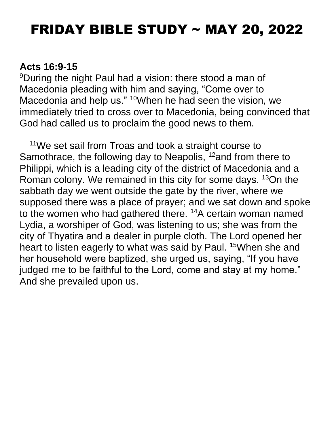# FRIDAY BIBLE STUDY ~ MAY 20, 2022

#### **Acts 16:9-15**

<sup>9</sup>During the night Paul had a vision: there stood a man of Macedonia pleading with him and saying, "Come over to Macedonia and help us." <sup>10</sup>When he had seen the vision, we immediately tried to cross over to Macedonia, being convinced that God had called us to proclaim the good news to them.

<sup>11</sup>We set sail from Troas and took a straight course to Samothrace, the following day to Neapolis, <sup>12</sup>and from there to Philippi, which is a leading city of the district of Macedonia and a Roman colony. We remained in this city for some days. <sup>13</sup>On the sabbath day we went outside the gate by the river, where we supposed there was a place of prayer; and we sat down and spoke to the women who had gathered there. <sup>14</sup>A certain woman named Lydia, a worshiper of God, was listening to us; she was from the city of Thyatira and a dealer in purple cloth. The Lord opened her heart to listen eagerly to what was said by Paul. <sup>15</sup>When she and her household were baptized, she urged us, saying, "If you have judged me to be faithful to the Lord, come and stay at my home." And she prevailed upon us.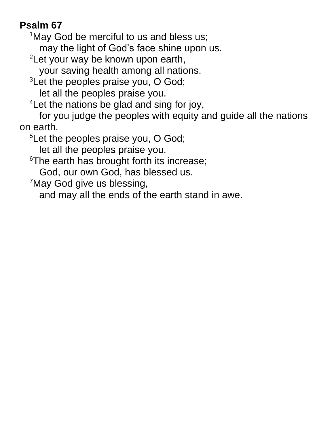## **Psalm 67**

<sup>1</sup>May God be merciful to us and bless us;

may the light of God's face shine upon us.

<sup>2</sup>Let your way be known upon earth,

your saving health among all nations.

 $3$ Let the peoples praise you, O God; let all the peoples praise you.

<sup>4</sup> Let the nations be glad and sing for joy,

for you judge the peoples with equity and guide all the nations on earth.

<sup>5</sup>Let the peoples praise you, O God;

let all the peoples praise you.

<sup>6</sup>The earth has brought forth its increase;

God, our own God, has blessed us.

<sup>7</sup>May God give us blessing,

and may all the ends of the earth stand in awe.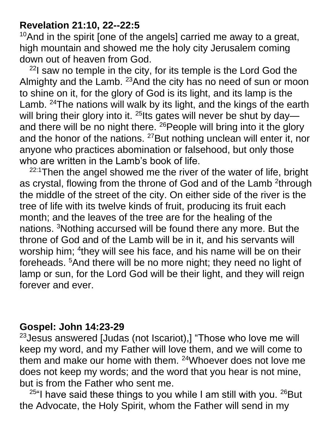#### **Revelation 21:10, 22--22:5**

 $10$ And in the spirit [one of the angels] carried me away to a great, high mountain and showed me the holy city Jerusalem coming down out of heaven from God.

 $22$ I saw no temple in the city, for its temple is the Lord God the Almighty and the Lamb. <sup>23</sup> And the city has no need of sun or moon to shine on it, for the glory of God is its light, and its lamp is the Lamb. <sup>24</sup>The nations will walk by its light, and the kings of the earth will bring their glory into it.  $^{25}$ lts gates will never be shut by day and there will be no night there. <sup>26</sup>People will bring into it the glory and the honor of the nations. <sup>27</sup>But nothing unclean will enter it, nor anyone who practices abomination or falsehood, but only those who are written in the Lamb's book of life.

 $22:1$ Then the angel showed me the river of the water of life, bright as crystal, flowing from the throne of God and of the Lamb <sup>2</sup>through the middle of the street of the city. On either side of the river is the tree of life with its twelve kinds of fruit, producing its fruit each month; and the leaves of the tree are for the healing of the nations. <sup>3</sup>Nothing accursed will be found there any more. But the throne of God and of the Lamb will be in it, and his servants will worship him; <sup>4</sup>they will see his face, and his name will be on their foreheads. <sup>5</sup>And there will be no more night; they need no light of lamp or sun, for the Lord God will be their light, and they will reign forever and ever.

### **Gospel: John 14:23-29**

<sup>23</sup>Jesus answered [Judas (not Iscariot),] "Those who love me will keep my word, and my Father will love them, and we will come to them and make our home with them. <sup>24</sup>Whoever does not love me does not keep my words; and the word that you hear is not mine, but is from the Father who sent me.

<sup>25"</sup>I have said these things to you while I am still with you.  $^{26}$ But the Advocate, the Holy Spirit, whom the Father will send in my